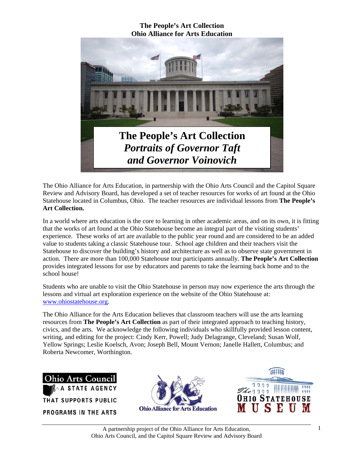

The Ohio Alliance for Arts Education, in partnership with the Ohio Arts Council and the Capitol Square Review and Advisory Board, has developed a set of teacher resources for works of art found at the Ohio Statehouse located in Columbus, Ohio. The teacher resources are individual lessons from **The People's Art Collection.** 

In a world where arts education is the core to learning in other academic areas, and on its own, it is fitting that the works of art found at the Ohio Statehouse become an integral part of the visiting students' experience. These works of art are available to the public year round and are considered to be an added value to students taking a classic Statehouse tour. School age children and their teachers visit the Statehouse to discover the building's history and architecture as well as to observe state government in action. There are more than 100,000 Statehouse tour participants annually. **The People's Art Collection** provides integrated lessons for use by educators and parents to take the learning back home and to the school house!

Students who are unable to visit the Ohio Statehouse in person may now experience the arts through the lessons and virtual art exploration experience on the website of the Ohio Statehouse at: www.ohiostatehouse.org.

The Ohio Alliance for the Arts Education believes that classroom teachers will use the arts learning resources from **The People's Art Collection** as part of their integrated approach to teaching history, civics, and the arts. We acknowledge the following individuals who skillfully provided lesson content, writing, and editing for the project: Cindy Kerr, Powell; Judy Delagrange, Cleveland; Susan Wolf, Yellow Springs; Leslie Koelsch, Avon; Joseph Bell, Mount Vernon; Janelle Hallett, Columbus; and Roberta Newcomer, Worthington.

**Ohio Arts Council STATE AGENCY** THAT SUPPORTS PUBLIC **PROGRAMS IN THE ARTS** 



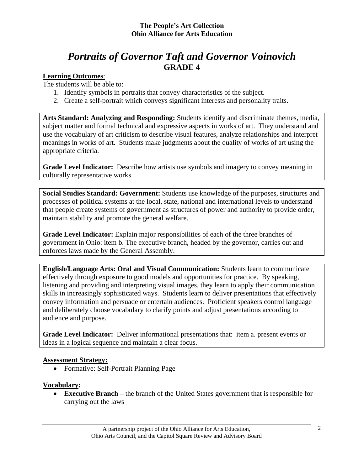# *Portraits of Governor Taft and Governor Voinovich*  **GRADE 4**

### **Learning Outcomes**:

The students will be able to:

- 1. Identify symbols in portraits that convey characteristics of the subject.
- 2. Create a self-portrait which conveys significant interests and personality traits.

**Arts Standard: Analyzing and Responding:** Students identify and discriminate themes, media, subject matter and formal technical and expressive aspects in works of art. They understand and use the vocabulary of art criticism to describe visual features, analyze relationships and interpret meanings in works of art. Students make judgments about the quality of works of art using the appropriate criteria.

**Grade Level Indicator:** Describe how artists use symbols and imagery to convey meaning in culturally representative works.

**Social Studies Standard: Government:** Students use knowledge of the purposes, structures and processes of political systems at the local, state, national and international levels to understand that people create systems of government as structures of power and authority to provide order, maintain stability and promote the general welfare.

**Grade Level Indicator:** Explain major responsibilities of each of the three branches of government in Ohio: item b. The executive branch, headed by the governor, carries out and enforces laws made by the General Assembly.

**English/Language Arts: Oral and Visual Communication:** Students learn to communicate effectively through exposure to good models and opportunities for practice. By speaking, listening and providing and interpreting visual images, they learn to apply their communication skills in increasingly sophisticated ways. Students learn to deliver presentations that effectively convey information and persuade or entertain audiences. Proficient speakers control language and deliberately choose vocabulary to clarify points and adjust presentations according to audience and purpose.

**Grade Level Indicator:** Deliver informational presentations that:item a. present events or ideas in a logical sequence and maintain a clear focus.

#### **Assessment Strategy:**

• Formative: Self-Portrait Planning Page

## **Vocabulary:**

• **Executive Branch** – the branch of the United States government that is responsible for carrying out the laws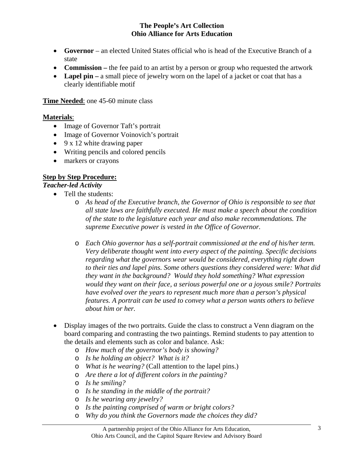- **Governor** an elected United States official who is head of the Executive Branch of a state
- **Commission** the fee paid to an artist by a person or group who requested the artwork
- Lapel pin a small piece of jewelry worn on the lapel of a jacket or coat that has a clearly identifiable motif

**Time Needed**: one 45-60 minute class

#### **Materials**:

- Image of Governor Taft's portrait
- Image of Governor Voinovich's portrait
- 9 x 12 white drawing paper
- Writing pencils and colored pencils
- markers or crayons

## **Step by Step Procedure:**

#### *Teacher-led Activity*

- Tell the students:
	- o *As head of the Executive branch, the Governor of Ohio is responsible to see that all state laws are faithfully executed. He must make a speech about the condition of the state to the legislature each year and also make recommendations. The supreme Executive power is vested in the Office of Governor.*
	- o *Each Ohio governor has a self-portrait commissioned at the end of his/her term. Very deliberate thought went into every aspect of the painting. Specific decisions regarding what the governors wear would be considered, everything right down to their ties and lapel pins. Some others questions they considered were: What did they want in the background? Would they hold something? What expression would they want on their face, a serious powerful one or a joyous smile? Portraits have evolved over the years to represent much more than a person's physical features. A portrait can be used to convey what a person wants others to believe about him or her.*
- Display images of the two portraits. Guide the class to construct a Venn diagram on the board comparing and contrasting the two paintings. Remind students to pay attention to the details and elements such as color and balance. Ask:
	- o *How much of the governor's body is showing?*
	- o *Is he holding an object? What is it?*
	- o *What is he wearing?* (Call attention to the lapel pins.)
	- o *Are there a lot of different colors in the painting?*
	- o *Is he smiling?*
	- o *Is he standing in the middle of the portrait?*
	- o *Is he wearing any jewelry?*
	- o *Is the painting comprised of warm or bright colors?*
	- o *Why do you think the Governors made the choices they did?*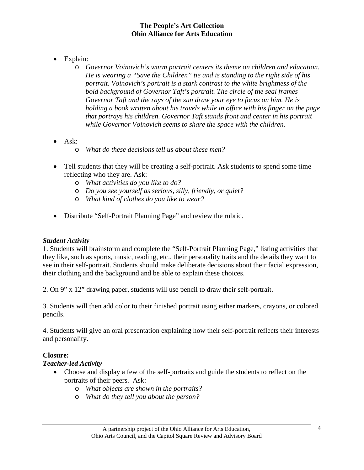- Explain:
	- o *Governor Voinovich's warm portrait centers its theme on children and education. He is wearing a "Save the Children" tie and is standing to the right side of his portrait. Voinovich's portrait is a stark contrast to the white brightness of the bold background of Governor Taft's portrait. The circle of the seal frames Governor Taft and the rays of the sun draw your eye to focus on him. He is holding a book written about his travels while in office with his finger on the page that portrays his children. Governor Taft stands front and center in his portrait while Governor Voinovich seems to share the space with the children.*
- Ask:
	- o *What do these decisions tell us about these men?*
- Tell students that they will be creating a self-portrait. Ask students to spend some time reflecting who they are. Ask:
	- o *What activities do you like to do?*
	- o *Do you see yourself as serious, silly, friendly, or quiet?*
	- o *What kind of clothes do you like to wear?*
- Distribute "Self-Portrait Planning Page" and review the rubric.

#### *Student Activity*

1. Students will brainstorm and complete the "Self-Portrait Planning Page," listing activities that they like, such as sports, music, reading, etc., their personality traits and the details they want to see in their self-portrait. Students should make deliberate decisions about their facial expression, their clothing and the background and be able to explain these choices.

2. On 9" x 12" drawing paper, students will use pencil to draw their self-portrait.

3. Students will then add color to their finished portrait using either markers, crayons, or colored pencils.

4. Students will give an oral presentation explaining how their self-portrait reflects their interests and personality.

#### **Closure:**

#### *Teacher-led Activity*

- Choose and display a few of the self-portraits and guide the students to reflect on the portraits of their peers. Ask:
	- o *What objects are shown in the portraits?*
	- o *What do they tell you about the person?*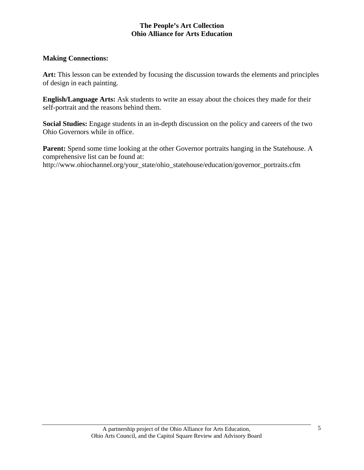#### **Making Connections:**

Art: This lesson can be extended by focusing the discussion towards the elements and principles of design in each painting.

**English/Language Arts:** Ask students to write an essay about the choices they made for their self-portrait and the reasons behind them.

**Social Studies:** Engage students in an in-depth discussion on the policy and careers of the two Ohio Governors while in office.

Parent: Spend some time looking at the other Governor portraits hanging in the Statehouse. A comprehensive list can be found at:

http://www.ohiochannel.org/your\_state/ohio\_statehouse/education/governor\_portraits.cfm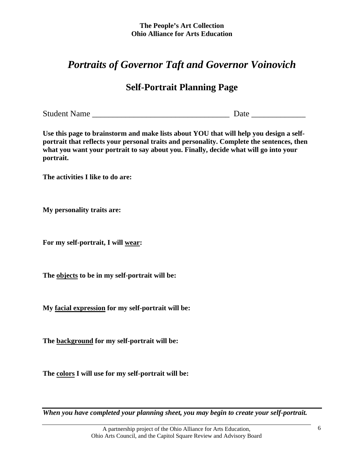# *Portraits of Governor Taft and Governor Voinovich*

# **Self-Portrait Planning Page**

Student Name \_\_\_\_\_\_\_\_\_\_\_\_\_\_\_\_\_\_\_\_\_\_\_\_\_\_\_\_\_\_\_\_\_ Date \_\_\_\_\_\_\_\_\_\_\_\_\_

**Use this page to brainstorm and make lists about YOU that will help you design a selfportrait that reflects your personal traits and personality. Complete the sentences, then what you want your portrait to say about you. Finally, decide what will go into your portrait.** 

**The activities I like to do are:** 

**My personality traits are:** 

**For my self-portrait, I will wear:** 

**The objects to be in my self-portrait will be:** 

**My facial expression for my self-portrait will be:** 

**The background for my self-portrait will be:** 

**The colors I will use for my self-portrait will be:** 

*When you have completed your planning sheet, you may begin to create your self-portrait.*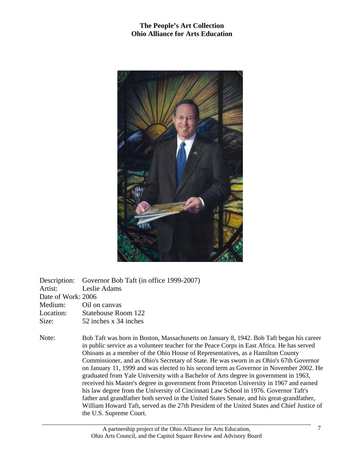

|                       | Description: Governor Bob Taft (in office 1999-2007) |
|-----------------------|------------------------------------------------------|
| Artist: Leslie Adams  |                                                      |
| Date of Work: 2006    |                                                      |
| Medium: Oil on canvas |                                                      |
| Location:             | Statehouse Room 122                                  |
| Size:                 | 52 inches x 34 inches                                |
|                       |                                                      |

Note: Bob Taft was born in Boston, Massachusetts on January 8, 1942. Bob Taft began his career in public service as a volunteer teacher for the Peace Corps in East Africa. He has served Ohioans as a member of the Ohio House of Representatives, as a Hamilton County Commissioner, and as Ohio's Secretary of State. He was sworn in as Ohio's 67th Governor on January 11, 1999 and was elected to his second term as Governor in November 2002. He graduated from Yale University with a Bachelor of Arts degree in government in 1963, received his Master's degree in government from Princeton University in 1967 and earned his law degree from the University of Cincinnati Law School in 1976. Governor Taft's father and grandfather both served in the United States Senate, and his great-grandfather, William Howard Taft, served as the 27th President of the United States and Chief Justice of the U.S. Supreme Court.